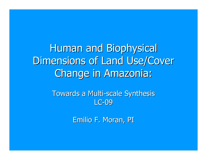Human and Biophysical Dimensions of Land Use/Cover Change in Amazonia :

> Towards a Multi-scale Synthesis LC-09

> > Emilio F. Moran, PI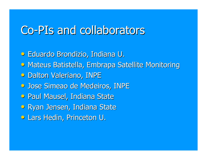## Co-PIs and collaborators

- Eduardo Brondizio, Indiana U.
- Mateus Batistella, Embrapa Satellite Monitoring
- **Dalton Valeriano, INPE**
- **Jose Simeao de Medeiros, INPE**
- Paul Mausel, Indiana State
- Ryan Jensen, Indiana State
- Lars Hedin, Princeton U.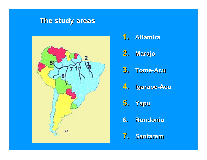### **The study areas The study areas**



**1. Altamira Altamira 2. Marajo 3. Tome -Acu 4. Igarape Igarape -Acu 5. Yapu 6.Rondonia Rondonia**

**7. Santarem Santarem**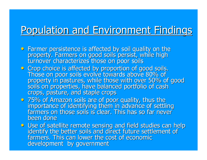### Population and Environment Findings

- Farmer persistence is affected by soil quality on the<br>property. Farmers on good soils persist, while high<br>turnover characterizes those on poor soils
- Crop choice is affected by proportion of good soils.<br>Those on poor soils evolve towards above 80% of property in pastures, while those with over 50% of good<br>soils on properties, have balanced portfolio of cash<br>crops, pasture, and staple crops
- 75% of Amazon soils are of poor quality, thus the importance of identifying them in advance of settling<br>farmers on those soils is clear. This has so far never been done
- Use of satellite remote sensing and field studies can help<br>identify the better soils and direct future settlement of<br>farmers. This can lower the cost of economic development by government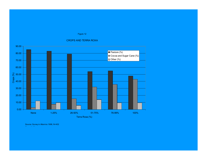#### Figure 12

#### CROPS AND TERRA ROXA



Source: Survey in Altamira 1998, N=402 H h ld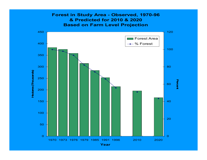### **Forest in Study Area - Observed, 1970-96 & Predicted for 2010 & 2020Based on Farm Level Projection**

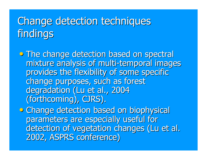# Change detection techniques findings

• The change detection based on spectral mixture analysis of multi-temporal images provides the flexibility of some specific change purposes, such as forest degradation (Lu et al., 2004 (forthcoming), CJRS).

• Change detection based on biophysical parameters are especially useful for detection of vegetation changes (Lu et al. 2002, ASPRS conference) 2002, ASPRS conference)